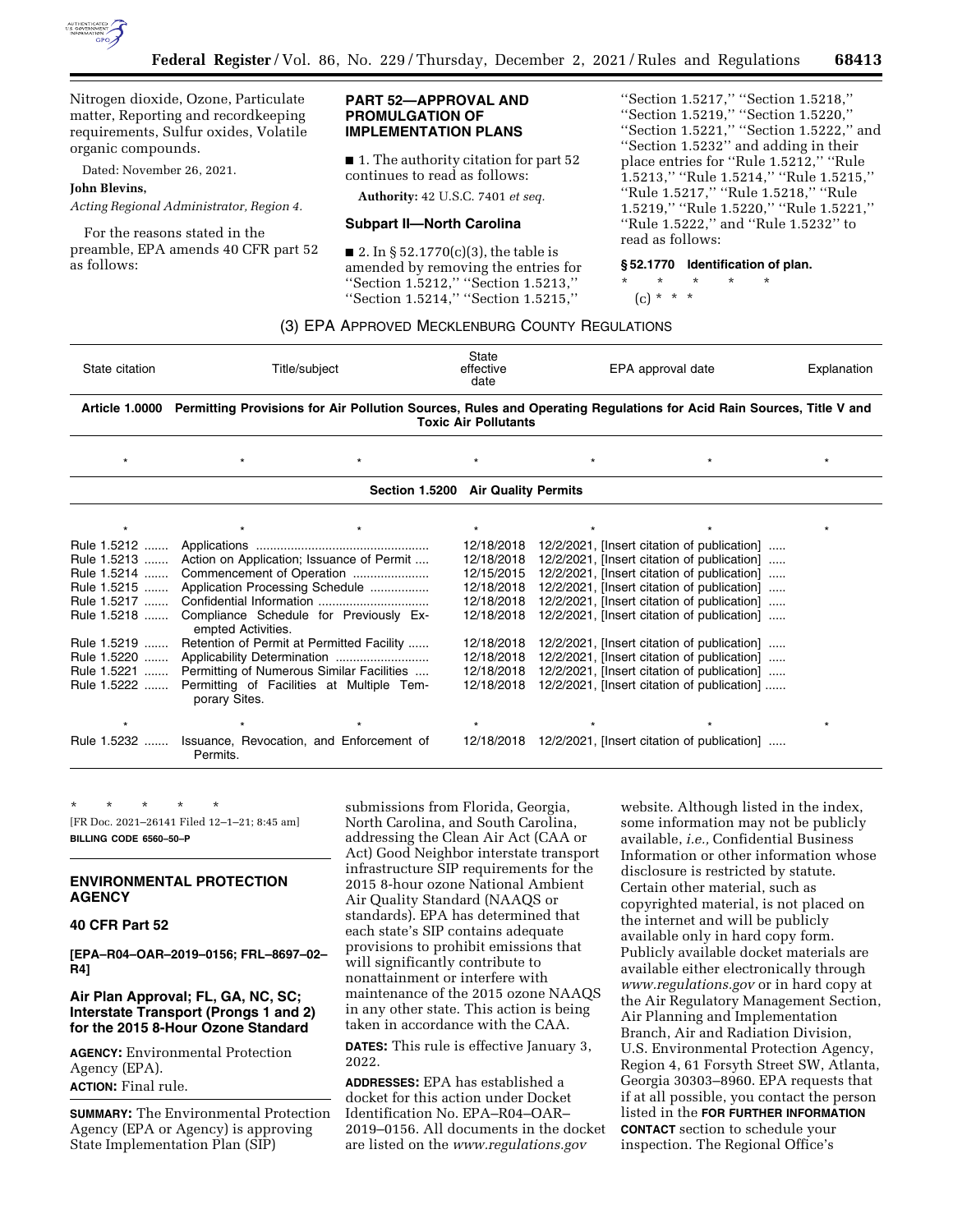

Nitrogen dioxide, Ozone, Particulate matter, Reporting and recordkeeping requirements, Sulfur oxides, Volatile organic compounds.

Dated: November 26, 2021.

#### **John Blevins,**

*Acting Regional Administrator, Region 4.* 

For the reasons stated in the preamble, EPA amends 40 CFR part 52 as follows:

## **PART 52—APPROVAL AND PROMULGATION OF IMPLEMENTATION PLANS**

■ 1. The authority citation for part 52 continues to read as follows:

**Authority:** 42 U.S.C. 7401 *et seq.* 

#### **Subpart II—North Carolina**

■ 2. In § 52.1770(c)(3), the table is amended by removing the entries for ''Section 1.5212,'' ''Section 1.5213,'' ''Section 1.5214,'' ''Section 1.5215,''

''Section 1.5217,'' ''Section 1.5218,'' ''Section 1.5219,'' ''Section 1.5220,'' ''Section 1.5221,'' ''Section 1.5222,'' and ''Section 1.5232'' and adding in their place entries for ''Rule 1.5212,'' ''Rule 1.5213,'' ''Rule 1.5214,'' ''Rule 1.5215,'' ''Rule 1.5217,'' ''Rule 1.5218,'' ''Rule 1.5219,'' ''Rule 1.5220,'' ''Rule 1.5221,'' ''Rule 1.5222,'' and ''Rule 1.5232'' to read as follows:

## **§ 52.1770 Identification of plan.**

\* \* \* \* \*

(c) \* \* \*

## (3) EPA APPROVED MECKLENBURG COUNTY REGULATIONS

| State citation | Title/subiect                                                                                                                      | State<br>effective<br>date | EPA approval date | Explanation |
|----------------|------------------------------------------------------------------------------------------------------------------------------------|----------------------------|-------------------|-------------|
|                | Article 1.0000 Permitting Provisions for Air Pollution Sources, Rules and Operating Regulations for Acid Rain Sources, Title V and |                            |                   |             |

**Toxic Air Pollutants** 

| $\star$     |                                                                           |                                    |                                             |  |
|-------------|---------------------------------------------------------------------------|------------------------------------|---------------------------------------------|--|
|             |                                                                           | Section 1.5200 Air Quality Permits |                                             |  |
|             |                                                                           |                                    |                                             |  |
|             |                                                                           | 12/18/2018                         | 12/2/2021, [Insert citation of publication] |  |
|             | Rule 1.5213  Action on Application; Issuance of Permit                    | 12/18/2018                         | 12/2/2021, [Insert citation of publication] |  |
|             | Rule 1.5214  Commencement of Operation                                    | 12/15/2015                         | 12/2/2021, [Insert citation of publication] |  |
|             | Rule 1.5215  Application Processing Schedule                              | 12/18/2018                         | 12/2/2021, [Insert citation of publication] |  |
| Rule 1.5217 |                                                                           | 12/18/2018                         | 12/2/2021, [Insert citation of publication] |  |
|             | Rule 1.5218  Compliance Schedule for Previously Ex-<br>empted Activities. | 12/18/2018                         | 12/2/2021, [Insert citation of publication] |  |
|             | Rule 1.5219  Retention of Permit at Permitted Facility                    | 12/18/2018                         | 12/2/2021, [Insert citation of publication] |  |
|             | Rule 1.5220  Applicability Determination                                  | 12/18/2018                         | 12/2/2021, [Insert citation of publication] |  |
|             | Rule 1.5221  Permitting of Numerous Similar Facilities                    | 12/18/2018                         | 12/2/2021, [Insert citation of publication] |  |
|             | Rule 1.5222  Permitting of Facilities at Multiple Tem-<br>porary Sites.   | 12/18/2018                         | 12/2/2021, [Insert citation of publication] |  |
|             |                                                                           |                                    |                                             |  |
|             | Rule 1.5232  Issuance, Revocation, and Enforcement of<br>Permits.         | 12/18/2018                         | 12/2/2021, [Insert citation of publication] |  |

\* \* \* \* \* [FR Doc. 2021–26141 Filed 12–1–21; 8:45 am] **BILLING CODE 6560–50–P** 

## **ENVIRONMENTAL PROTECTION AGENCY**

## **40 CFR Part 52**

**[EPA–R04–OAR–2019–0156; FRL–8697–02– R4]** 

## **Air Plan Approval; FL, GA, NC, SC; Interstate Transport (Prongs 1 and 2) for the 2015 8-Hour Ozone Standard**

**AGENCY:** Environmental Protection Agency (EPA). **ACTION:** Final rule.

**SUMMARY:** The Environmental Protection Agency (EPA or Agency) is approving State Implementation Plan (SIP)

submissions from Florida, Georgia, North Carolina, and South Carolina, addressing the Clean Air Act (CAA or Act) Good Neighbor interstate transport infrastructure SIP requirements for the 2015 8-hour ozone National Ambient Air Quality Standard (NAAQS or standards). EPA has determined that each state's SIP contains adequate provisions to prohibit emissions that will significantly contribute to nonattainment or interfere with maintenance of the 2015 ozone NAAQS in any other state. This action is being taken in accordance with the CAA.

**DATES:** This rule is effective January 3, 2022.

**ADDRESSES:** EPA has established a docket for this action under Docket Identification No. EPA–R04–OAR– 2019–0156. All documents in the docket are listed on the *[www.regulations.gov](http://www.regulations.gov)* 

website. Although listed in the index, some information may not be publicly available, *i.e.,* Confidential Business Information or other information whose disclosure is restricted by statute. Certain other material, such as copyrighted material, is not placed on the internet and will be publicly available only in hard copy form. Publicly available docket materials are available either electronically through *[www.regulations.gov](http://www.regulations.gov)* or in hard copy at the Air Regulatory Management Section, Air Planning and Implementation Branch, Air and Radiation Division, U.S. Environmental Protection Agency, Region 4, 61 Forsyth Street SW, Atlanta, Georgia 30303–8960. EPA requests that if at all possible, you contact the person listed in the **FOR FURTHER INFORMATION CONTACT** section to schedule your inspection. The Regional Office's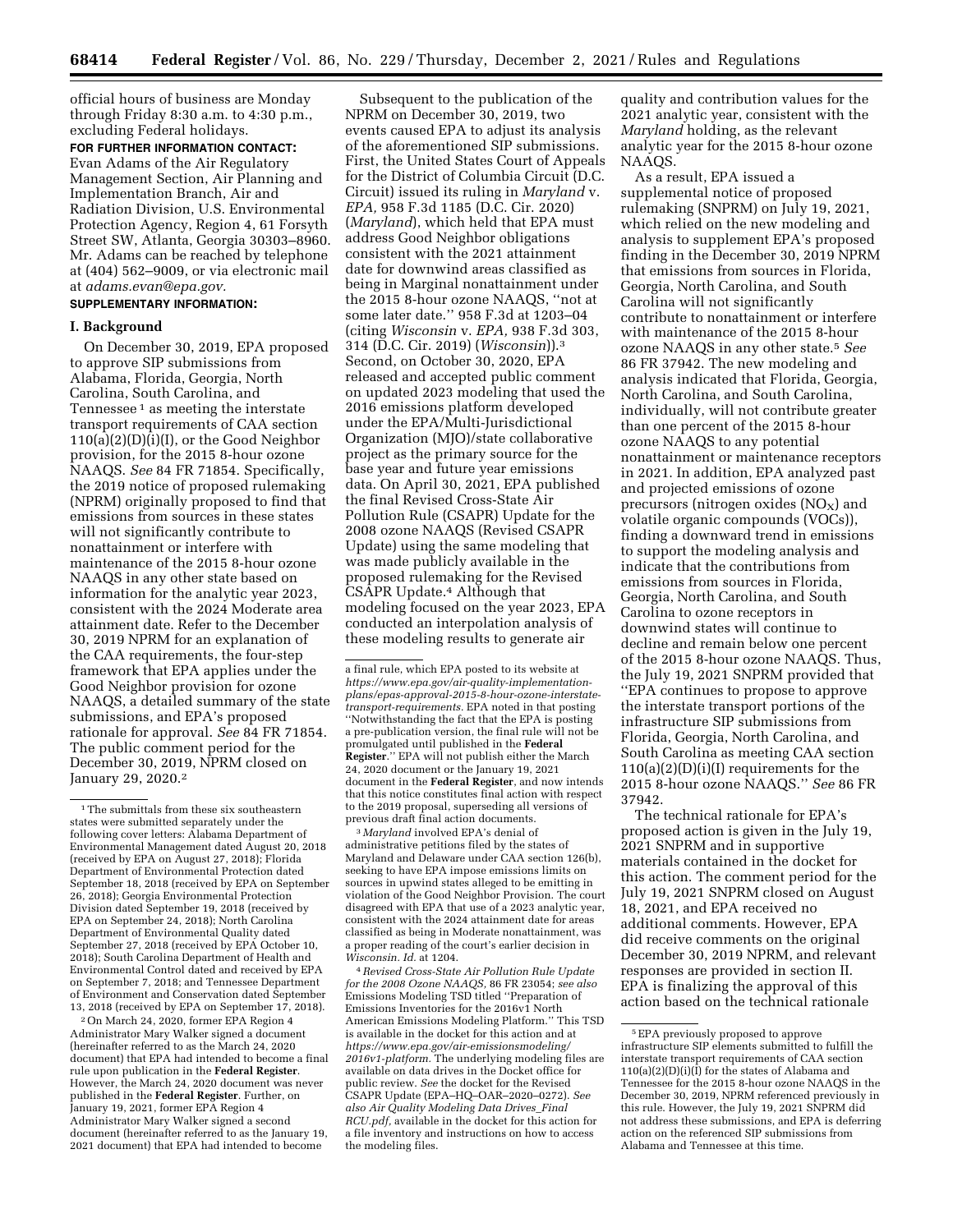official hours of business are Monday through Friday 8:30 a.m. to 4:30 p.m., excluding Federal holidays.

**FOR FURTHER INFORMATION CONTACT:**  Evan Adams of the Air Regulatory Management Section, Air Planning and Implementation Branch, Air and Radiation Division, U.S. Environmental Protection Agency, Region 4, 61 Forsyth Street SW, Atlanta, Georgia 30303–8960. Mr. Adams can be reached by telephone at (404) 562–9009, or via electronic mail at *[adams.evan@epa.gov.](mailto:adams.evan@epa.gov)* 

## **SUPPLEMENTARY INFORMATION:**

#### **I. Background**

On December 30, 2019, EPA proposed to approve SIP submissions from Alabama, Florida, Georgia, North Carolina, South Carolina, and Tennessee 1 as meeting the interstate transport requirements of CAA section 110(a)(2)(D)(i)(I), or the Good Neighbor provision, for the 2015 8-hour ozone NAAQS. *See* 84 FR 71854. Specifically, the 2019 notice of proposed rulemaking (NPRM) originally proposed to find that emissions from sources in these states will not significantly contribute to nonattainment or interfere with maintenance of the 2015 8-hour ozone NAAQS in any other state based on information for the analytic year 2023, consistent with the 2024 Moderate area attainment date. Refer to the December 30, 2019 NPRM for an explanation of the CAA requirements, the four-step framework that EPA applies under the Good Neighbor provision for ozone NAAQS, a detailed summary of the state submissions, and EPA's proposed rationale for approval. *See* 84 FR 71854. The public comment period for the December 30, 2019, NPRM closed on January 29, 2020.2

2On March 24, 2020, former EPA Region 4 Administrator Mary Walker signed a document (hereinafter referred to as the March 24, 2020 document) that EPA had intended to become a final rule upon publication in the **Federal Register**. However, the March 24, 2020 document was never published in the **Federal Register**. Further, on January 19, 2021, former EPA Region 4 Administrator Mary Walker signed a second document (hereinafter referred to as the January 19, 2021 document) that EPA had intended to become

Subsequent to the publication of the NPRM on December 30, 2019, two events caused EPA to adjust its analysis of the aforementioned SIP submissions. First, the United States Court of Appeals for the District of Columbia Circuit (D.C. Circuit) issued its ruling in *Maryland* v. *EPA,* 958 F.3d 1185 (D.C. Cir. 2020) (*Maryland*), which held that EPA must address Good Neighbor obligations consistent with the 2021 attainment date for downwind areas classified as being in Marginal nonattainment under the 2015 8-hour ozone NAAQS, ''not at some later date.'' 958 F.3d at 1203–04 (citing *Wisconsin* v. *EPA,* 938 F.3d 303, 314 (D.C. Cir. 2019) (*Wisconsin*)).3 Second, on October 30, 2020, EPA released and accepted public comment on updated 2023 modeling that used the 2016 emissions platform developed under the EPA/Multi-Jurisdictional Organization (MJO)/state collaborative project as the primary source for the base year and future year emissions data. On April 30, 2021, EPA published the final Revised Cross-State Air Pollution Rule (CSAPR) Update for the 2008 ozone NAAQS (Revised CSAPR Update) using the same modeling that was made publicly available in the proposed rulemaking for the Revised CSAPR Update.4 Although that modeling focused on the year 2023, EPA conducted an interpolation analysis of these modeling results to generate air

3 *Maryland* involved EPA's denial of administrative petitions filed by the states of Maryland and Delaware under CAA section 126(b), seeking to have EPA impose emissions limits on sources in upwind states alleged to be emitting in violation of the Good Neighbor Provision. The court disagreed with EPA that use of a 2023 analytic year, consistent with the 2024 attainment date for areas classified as being in Moderate nonattainment, was a proper reading of the court's earlier decision in *Wisconsin. Id.* at 1204.

4*Revised Cross-State Air Pollution Rule Update for the 2008 Ozone NAAQS,* 86 FR 23054; *see also*  Emissions Modeling TSD titled ''Preparation of Emissions Inventories for the 2016v1 North American Emissions Modeling Platform.'' This TSD is available in the docket for this action and at *[https://www.epa.gov/air-emissionsmodeling/](https://www.epa.gov/air-emissionsmodeling/2016v1-platform)  [2016v1-platform.](https://www.epa.gov/air-emissionsmodeling/2016v1-platform)* The underlying modeling files are available on data drives in the Docket office for public review. *See* the docket for the Revised CSAPR Update (EPA–HQ–OAR–2020–0272). *See also Air Quality Modeling Data Drives*\_*Final RCU.pdf,* available in the docket for this action for a file inventory and instructions on how to access the modeling files.

quality and contribution values for the 2021 analytic year, consistent with the *Maryland* holding, as the relevant analytic year for the 2015 8-hour ozone NAAQS.

As a result, EPA issued a supplemental notice of proposed rulemaking (SNPRM) on July 19, 2021, which relied on the new modeling and analysis to supplement EPA's proposed finding in the December 30, 2019 NPRM that emissions from sources in Florida, Georgia, North Carolina, and South Carolina will not significantly contribute to nonattainment or interfere with maintenance of the 2015 8-hour ozone NAAQS in any other state.5 *See*  86 FR 37942. The new modeling and analysis indicated that Florida, Georgia, North Carolina, and South Carolina, individually, will not contribute greater than one percent of the 2015 8-hour ozone NAAQS to any potential nonattainment or maintenance receptors in 2021. In addition, EPA analyzed past and projected emissions of ozone precursors (nitrogen oxides  $(NO<sub>X</sub>)$  and volatile organic compounds (VOCs)), finding a downward trend in emissions to support the modeling analysis and indicate that the contributions from emissions from sources in Florida, Georgia, North Carolina, and South Carolina to ozone receptors in downwind states will continue to decline and remain below one percent of the 2015 8-hour ozone NAAQS. Thus, the July 19, 2021 SNPRM provided that ''EPA continues to propose to approve the interstate transport portions of the infrastructure SIP submissions from Florida, Georgia, North Carolina, and South Carolina as meeting CAA section 110(a)(2)(D)(i)(I) requirements for the 2015 8-hour ozone NAAQS.'' *See* 86 FR 37942.

The technical rationale for EPA's proposed action is given in the July 19, 2021 SNPRM and in supportive materials contained in the docket for this action. The comment period for the July 19, 2021 SNPRM closed on August 18, 2021, and EPA received no additional comments. However, EPA did receive comments on the original December 30, 2019 NPRM, and relevant responses are provided in section II. EPA is finalizing the approval of this action based on the technical rationale

<sup>&</sup>lt;sup>1</sup>The submittals from these six southeastern states were submitted separately under the following cover letters: Alabama Department of Environmental Management dated August 20, 2018 (received by EPA on August 27, 2018); Florida Department of Environmental Protection dated September 18, 2018 (received by EPA on September 26, 2018); Georgia Environmental Protection Division dated September 19, 2018 (received by EPA on September 24, 2018); North Carolina Department of Environmental Quality dated September 27, 2018 (received by EPA October 10, 2018); South Carolina Department of Health and Environmental Control dated and received by EPA on September 7, 2018; and Tennessee Department of Environment and Conservation dated September 13, 2018 (received by EPA on September 17, 2018).

a final rule, which EPA posted to its website at *https://www.epa.gov/air-quality-implementation[plans/epas-approval-2015-8-hour-ozone-interstate](https://www.epa.gov/air-quality-implementation-plans/epas-approval-2015-8-hour-ozone-interstate-transport-requirements)[transport-requirements](https://www.epa.gov/air-quality-implementation-plans/epas-approval-2015-8-hour-ozone-interstate-transport-requirements).* EPA noted in that posting ''Notwithstanding the fact that the EPA is posting a pre-publication version, the final rule will not be promulgated until published in the **Federal Register**.'' EPA will not publish either the March 24, 2020 document or the January 19, 2021 document in the **Federal Register**, and now intends that this notice constitutes final action with respect to the 2019 proposal, superseding all versions of previous draft final action documents.

<sup>5</sup>EPA previously proposed to approve infrastructure SIP elements submitted to fulfill the interstate transport requirements of CAA section  $110(a)(2)(D)(i)(\hat{I})$  for the states of Alabama and Tennessee for the 2015 8-hour ozone NAAQS in the December 30, 2019, NPRM referenced previously in this rule. However, the July 19, 2021 SNPRM did not address these submissions, and EPA is deferring action on the referenced SIP submissions from Alabama and Tennessee at this time.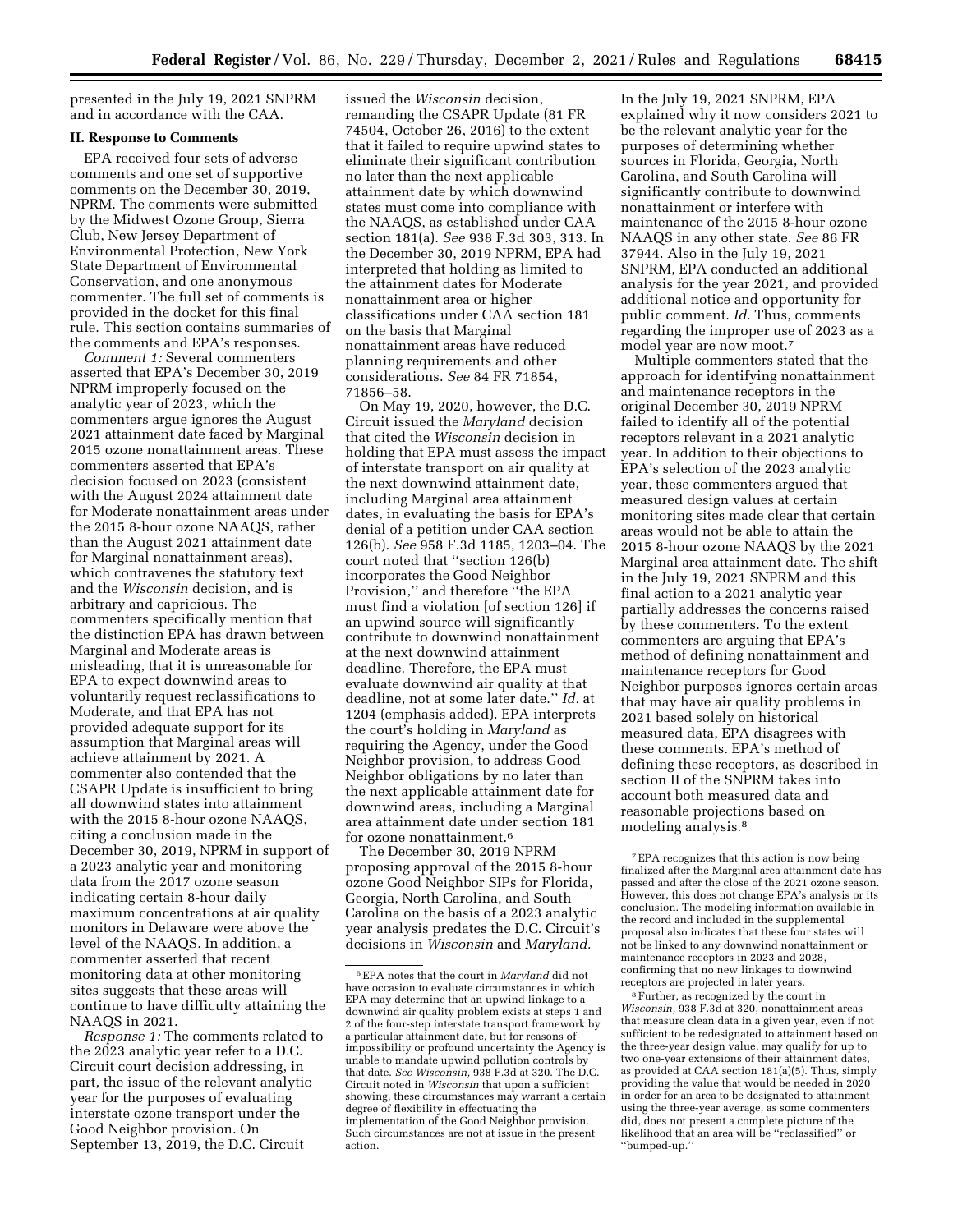presented in the July 19, 2021 SNPRM and in accordance with the CAA.

### **II. Response to Comments**

EPA received four sets of adverse comments and one set of supportive comments on the December 30, 2019, NPRM. The comments were submitted by the Midwest Ozone Group, Sierra Club, New Jersey Department of Environmental Protection, New York State Department of Environmental Conservation, and one anonymous commenter. The full set of comments is provided in the docket for this final rule. This section contains summaries of the comments and EPA's responses.

*Comment 1:* Several commenters asserted that EPA's December 30, 2019 NPRM improperly focused on the analytic year of 2023, which the commenters argue ignores the August 2021 attainment date faced by Marginal 2015 ozone nonattainment areas. These commenters asserted that EPA's decision focused on 2023 (consistent with the August 2024 attainment date for Moderate nonattainment areas under the 2015 8-hour ozone NAAQS, rather than the August 2021 attainment date for Marginal nonattainment areas), which contravenes the statutory text and the *Wisconsin* decision, and is arbitrary and capricious. The commenters specifically mention that the distinction EPA has drawn between Marginal and Moderate areas is misleading, that it is unreasonable for EPA to expect downwind areas to voluntarily request reclassifications to Moderate, and that EPA has not provided adequate support for its assumption that Marginal areas will achieve attainment by 2021. A commenter also contended that the CSAPR Update is insufficient to bring all downwind states into attainment with the 2015 8-hour ozone NAAQS, citing a conclusion made in the December 30, 2019, NPRM in support of a 2023 analytic year and monitoring data from the 2017 ozone season indicating certain 8-hour daily maximum concentrations at air quality monitors in Delaware were above the level of the NAAQS. In addition, a commenter asserted that recent monitoring data at other monitoring sites suggests that these areas will continue to have difficulty attaining the NAAQS in 2021.

*Response 1:* The comments related to the 2023 analytic year refer to a D.C. Circuit court decision addressing, in part, the issue of the relevant analytic year for the purposes of evaluating interstate ozone transport under the Good Neighbor provision. On September 13, 2019, the D.C. Circuit

issued the *Wisconsin* decision, remanding the CSAPR Update (81 FR 74504, October 26, 2016) to the extent that it failed to require upwind states to eliminate their significant contribution no later than the next applicable attainment date by which downwind states must come into compliance with the NAAQS, as established under CAA section 181(a). *See* 938 F.3d 303, 313. In the December 30, 2019 NPRM, EPA had interpreted that holding as limited to the attainment dates for Moderate nonattainment area or higher classifications under CAA section 181 on the basis that Marginal nonattainment areas have reduced planning requirements and other considerations. *See* 84 FR 71854, 71856–58.

On May 19, 2020, however, the D.C. Circuit issued the *Maryland* decision that cited the *Wisconsin* decision in holding that EPA must assess the impact of interstate transport on air quality at the next downwind attainment date, including Marginal area attainment dates, in evaluating the basis for EPA's denial of a petition under CAA section 126(b). *See* 958 F.3d 1185, 1203–04. The court noted that ''section 126(b) incorporates the Good Neighbor Provision,'' and therefore ''the EPA must find a violation [of section 126] if an upwind source will significantly contribute to downwind nonattainment at the next downwind attainment deadline. Therefore, the EPA must evaluate downwind air quality at that deadline, not at some later date.'' *Id.* at 1204 (emphasis added). EPA interprets the court's holding in *Maryland* as requiring the Agency, under the Good Neighbor provision, to address Good Neighbor obligations by no later than the next applicable attainment date for downwind areas, including a Marginal area attainment date under section 181 for ozone nonattainment.6

The December 30, 2019 NPRM proposing approval of the 2015 8-hour ozone Good Neighbor SIPs for Florida, Georgia, North Carolina, and South Carolina on the basis of a 2023 analytic year analysis predates the D.C. Circuit's decisions in *Wisconsin* and *Maryland.* 

In the July 19, 2021 SNPRM, EPA explained why it now considers 2021 to be the relevant analytic year for the purposes of determining whether sources in Florida, Georgia, North Carolina, and South Carolina will significantly contribute to downwind nonattainment or interfere with maintenance of the 2015 8-hour ozone NAAQS in any other state. *See* 86 FR 37944. Also in the July 19, 2021 SNPRM, EPA conducted an additional analysis for the year 2021, and provided additional notice and opportunity for public comment. *Id.* Thus, comments regarding the improper use of 2023 as a model year are now moot.7

Multiple commenters stated that the approach for identifying nonattainment and maintenance receptors in the original December 30, 2019 NPRM failed to identify all of the potential receptors relevant in a 2021 analytic year. In addition to their objections to EPA's selection of the 2023 analytic year, these commenters argued that measured design values at certain monitoring sites made clear that certain areas would not be able to attain the 2015 8-hour ozone NAAQS by the 2021 Marginal area attainment date. The shift in the July 19, 2021 SNPRM and this final action to a 2021 analytic year partially addresses the concerns raised by these commenters. To the extent commenters are arguing that EPA's method of defining nonattainment and maintenance receptors for Good Neighbor purposes ignores certain areas that may have air quality problems in 2021 based solely on historical measured data, EPA disagrees with these comments. EPA's method of defining these receptors, as described in section II of the SNPRM takes into account both measured data and reasonable projections based on modeling analysis.8

8Further, as recognized by the court in *Wisconsin,* 938 F.3d at 320, nonattainment areas that measure clean data in a given year, even if not sufficient to be redesignated to attainment based on the three-year design value, may qualify for up to two one-year extensions of their attainment dates, as provided at CAA section 181(a)(5). Thus, simply providing the value that would be needed in 2020 in order for an area to be designated to attainment using the three-year average, as some commenters did, does not present a complete picture of the likelihood that an area will be ''reclassified'' or ''bumped-up.''

<sup>6</sup>EPA notes that the court in *Maryland* did not have occasion to evaluate circumstances in which EPA may determine that an upwind linkage to a downwind air quality problem exists at steps 1 and 2 of the four-step interstate transport framework by a particular attainment date, but for reasons of impossibility or profound uncertainty the Agency is unable to mandate upwind pollution controls by that date. *See Wisconsin,* 938 F.3d at 320. The D.C. Circuit noted in *Wisconsin* that upon a sufficient showing, these circumstances may warrant a certain degree of flexibility in effectuating the implementation of the Good Neighbor provision. Such circumstances are not at issue in the present action.

<sup>7</sup>EPA recognizes that this action is now being finalized after the Marginal area attainment date has passed and after the close of the 2021 ozone season. However, this does not change EPA's analysis or its conclusion. The modeling information available in the record and included in the supplemental proposal also indicates that these four states will not be linked to any downwind nonattainment or maintenance receptors in 2023 and 2028, confirming that no new linkages to downwind receptors are projected in later years.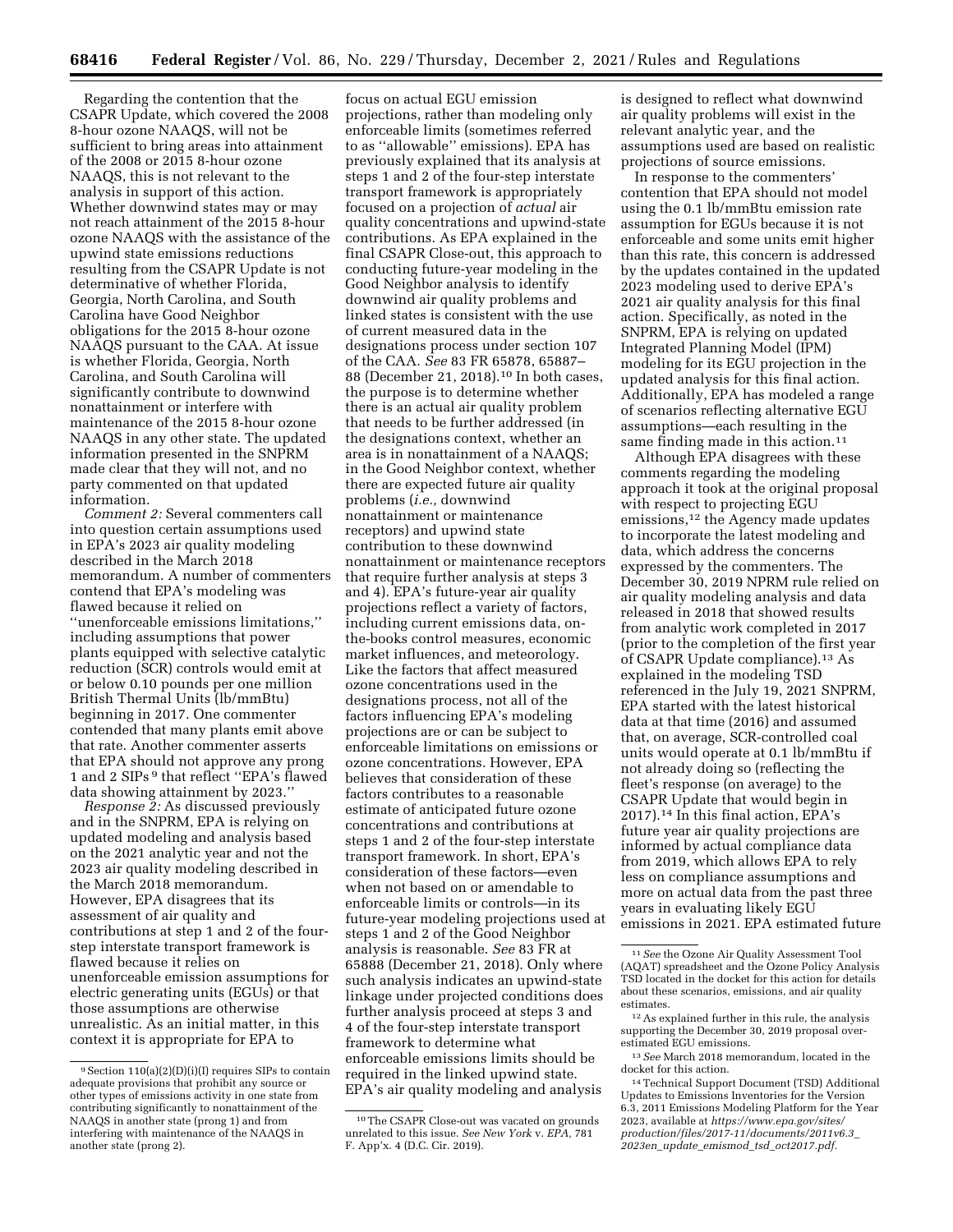Regarding the contention that the CSAPR Update, which covered the 2008 8-hour ozone NAAQS, will not be sufficient to bring areas into attainment of the 2008 or 2015 8-hour ozone NAAQS, this is not relevant to the analysis in support of this action. Whether downwind states may or may not reach attainment of the 2015 8-hour ozone NAAQS with the assistance of the upwind state emissions reductions resulting from the CSAPR Update is not determinative of whether Florida, Georgia, North Carolina, and South Carolina have Good Neighbor obligations for the 2015 8-hour ozone NAAQS pursuant to the CAA. At issue is whether Florida, Georgia, North Carolina, and South Carolina will significantly contribute to downwind nonattainment or interfere with maintenance of the 2015 8-hour ozone NAAQS in any other state. The updated information presented in the SNPRM made clear that they will not, and no party commented on that updated information.

*Comment 2:* Several commenters call into question certain assumptions used in EPA's 2023 air quality modeling described in the March 2018 memorandum. A number of commenters contend that EPA's modeling was flawed because it relied on ''unenforceable emissions limitations,'' including assumptions that power plants equipped with selective catalytic reduction (SCR) controls would emit at or below 0.10 pounds per one million British Thermal Units (lb/mmBtu) beginning in 2017. One commenter contended that many plants emit above that rate. Another commenter asserts that EPA should not approve any prong 1 and 2 SIPs 9 that reflect ''EPA's flawed data showing attainment by 2023.''

*Response 2:* As discussed previously and in the SNPRM, EPA is relying on updated modeling and analysis based on the 2021 analytic year and not the 2023 air quality modeling described in the March 2018 memorandum. However, EPA disagrees that its assessment of air quality and contributions at step 1 and 2 of the fourstep interstate transport framework is flawed because it relies on unenforceable emission assumptions for electric generating units (EGUs) or that those assumptions are otherwise unrealistic. As an initial matter, in this context it is appropriate for EPA to

focus on actual EGU emission projections, rather than modeling only enforceable limits (sometimes referred to as ''allowable'' emissions). EPA has previously explained that its analysis at steps 1 and 2 of the four-step interstate transport framework is appropriately focused on a projection of *actual* air quality concentrations and upwind-state contributions. As EPA explained in the final CSAPR Close-out, this approach to conducting future-year modeling in the Good Neighbor analysis to identify downwind air quality problems and linked states is consistent with the use of current measured data in the designations process under section 107 of the CAA. *See* 83 FR 65878, 65887– 88 (December 21, 2018).10 In both cases, the purpose is to determine whether there is an actual air quality problem that needs to be further addressed (in the designations context, whether an area is in nonattainment of a NAAQS; in the Good Neighbor context, whether there are expected future air quality problems (*i.e.,* downwind nonattainment or maintenance receptors) and upwind state contribution to these downwind nonattainment or maintenance receptors that require further analysis at steps 3 and 4). EPA's future-year air quality projections reflect a variety of factors, including current emissions data, onthe-books control measures, economic market influences, and meteorology. Like the factors that affect measured ozone concentrations used in the designations process, not all of the factors influencing EPA's modeling projections are or can be subject to enforceable limitations on emissions or ozone concentrations. However, EPA believes that consideration of these factors contributes to a reasonable estimate of anticipated future ozone concentrations and contributions at steps 1 and 2 of the four-step interstate transport framework. In short, EPA's consideration of these factors—even when not based on or amendable to enforceable limits or controls—in its future-year modeling projections used at steps 1 and 2 of the Good Neighbor analysis is reasonable. *See* 83 FR at 65888 (December 21, 2018). Only where such analysis indicates an upwind-state linkage under projected conditions does further analysis proceed at steps 3 and 4 of the four-step interstate transport framework to determine what enforceable emissions limits should be required in the linked upwind state. EPA's air quality modeling and analysis

is designed to reflect what downwind air quality problems will exist in the relevant analytic year, and the assumptions used are based on realistic projections of source emissions.

In response to the commenters' contention that EPA should not model using the 0.1 lb/mmBtu emission rate assumption for EGUs because it is not enforceable and some units emit higher than this rate, this concern is addressed by the updates contained in the updated 2023 modeling used to derive EPA's 2021 air quality analysis for this final action. Specifically, as noted in the SNPRM, EPA is relying on updated Integrated Planning Model (IPM) modeling for its EGU projection in the updated analysis for this final action. Additionally, EPA has modeled a range of scenarios reflecting alternative EGU assumptions—each resulting in the same finding made in this action.<sup>11</sup>

Although EPA disagrees with these comments regarding the modeling approach it took at the original proposal with respect to projecting EGU emissions,<sup>12</sup> the Agency made updates to incorporate the latest modeling and data, which address the concerns expressed by the commenters. The December 30, 2019 NPRM rule relied on air quality modeling analysis and data released in 2018 that showed results from analytic work completed in 2017 (prior to the completion of the first year of CSAPR Update compliance).13 As explained in the modeling TSD referenced in the July 19, 2021 SNPRM, EPA started with the latest historical data at that time (2016) and assumed that, on average, SCR-controlled coal units would operate at 0.1 lb/mmBtu if not already doing so (reflecting the fleet's response (on average) to the CSAPR Update that would begin in 2017).14 In this final action, EPA's future year air quality projections are informed by actual compliance data from 2019, which allows EPA to rely less on compliance assumptions and more on actual data from the past three years in evaluating likely EGU emissions in 2021. EPA estimated future

<sup>9</sup>Section 110(a)(2)(D)(i)(I) requires SIPs to contain adequate provisions that prohibit any source or other types of emissions activity in one state from contributing significantly to nonattainment of the NAAQS in another state (prong 1) and from interfering with maintenance of the NAAQS in another state (prong 2).

<sup>10</sup>The CSAPR Close-out was vacated on grounds unrelated to this issue. *See New York* v. *EPA,* 781 F. App'x. 4 (D.C. Cir. 2019).

<sup>11</sup>*See* the Ozone Air Quality Assessment Tool (AQAT) spreadsheet and the Ozone Policy Analysis TSD located in the docket for this action for details about these scenarios, emissions, and air quality estimates.

<sup>12</sup>As explained further in this rule, the analysis supporting the December 30, 2019 proposal overestimated EGU emissions.

<sup>13</sup>*See* March 2018 memorandum, located in the docket for this action.

<sup>14</sup>Technical Support Document (TSD) Additional Updates to Emissions Inventories for the Version 6.3, 2011 Emissions Modeling Platform for the Year 2023, available at *[https://www.epa.gov/sites/](https://www.epa.gov/sites/production/files/2017-11/documents/2011v6.3_2023en_update_emismod_tsd_oct2017.pdf)  [production/files/2017-11/documents/2011v6.3](https://www.epa.gov/sites/production/files/2017-11/documents/2011v6.3_2023en_update_emismod_tsd_oct2017.pdf)*\_ *2023en*\_*update*\_*emismod*\_*tsd*\_*[oct2017.pdf.](https://www.epa.gov/sites/production/files/2017-11/documents/2011v6.3_2023en_update_emismod_tsd_oct2017.pdf)*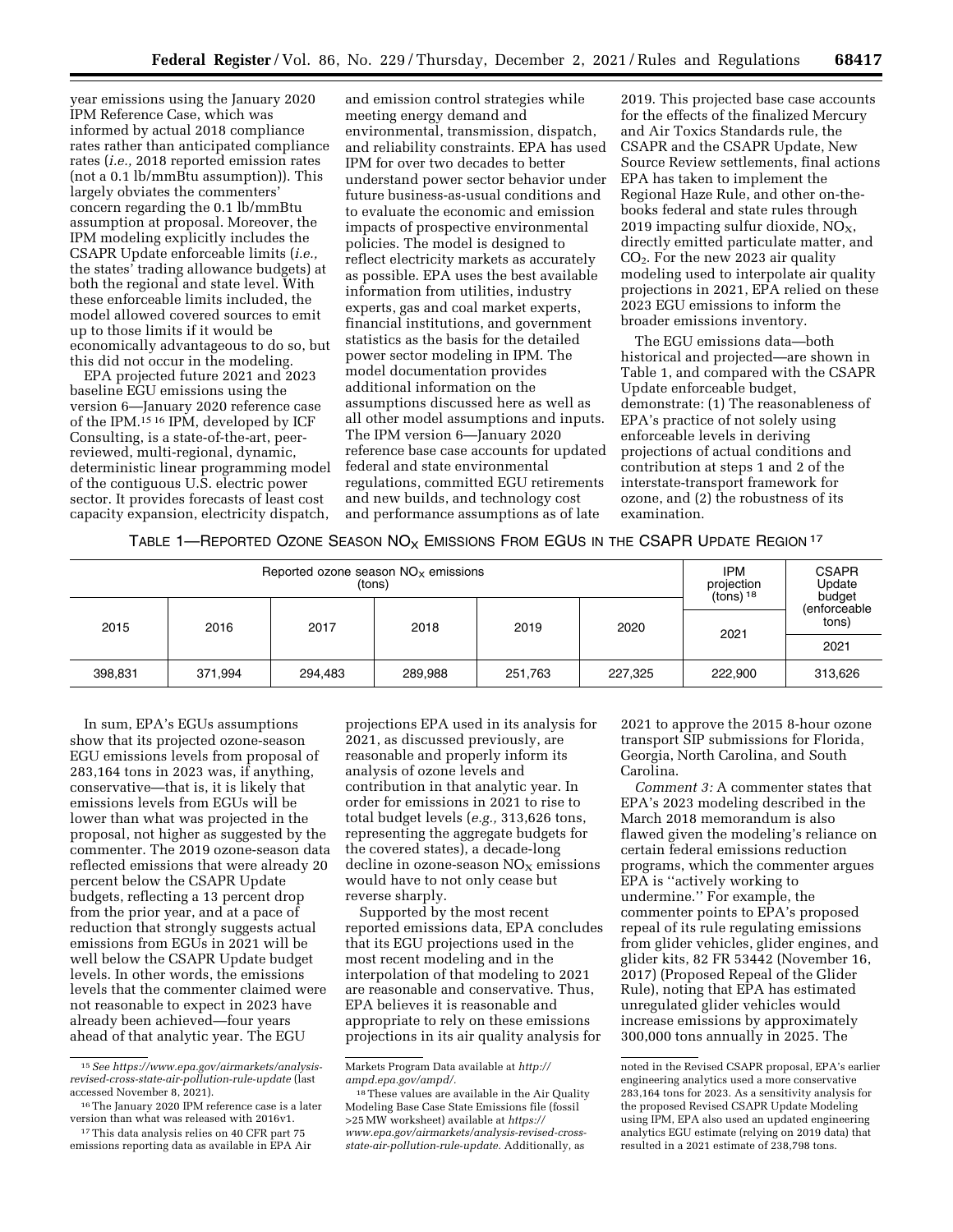year emissions using the January 2020 IPM Reference Case, which was informed by actual 2018 compliance rates rather than anticipated compliance rates (*i.e.,* 2018 reported emission rates (not a 0.1 lb/mmBtu assumption)). This largely obviates the commenters' concern regarding the 0.1 lb/mmBtu assumption at proposal. Moreover, the IPM modeling explicitly includes the CSAPR Update enforceable limits (*i.e.,*  the states' trading allowance budgets) at both the regional and state level. With these enforceable limits included, the model allowed covered sources to emit up to those limits if it would be economically advantageous to do so, but this did not occur in the modeling.

EPA projected future 2021 and 2023 baseline EGU emissions using the version 6—January 2020 reference case of the IPM.15 16 IPM, developed by ICF Consulting, is a state-of-the-art, peerreviewed, multi-regional, dynamic, deterministic linear programming model of the contiguous U.S. electric power sector. It provides forecasts of least cost capacity expansion, electricity dispatch,

and emission control strategies while meeting energy demand and environmental, transmission, dispatch, and reliability constraints. EPA has used IPM for over two decades to better understand power sector behavior under future business-as-usual conditions and to evaluate the economic and emission impacts of prospective environmental policies. The model is designed to reflect electricity markets as accurately as possible. EPA uses the best available information from utilities, industry experts, gas and coal market experts, financial institutions, and government statistics as the basis for the detailed power sector modeling in IPM. The model documentation provides additional information on the assumptions discussed here as well as all other model assumptions and inputs. The IPM version 6—January 2020 reference base case accounts for updated federal and state environmental regulations, committed EGU retirements and new builds, and technology cost and performance assumptions as of late

2019. This projected base case accounts for the effects of the finalized Mercury and Air Toxics Standards rule, the CSAPR and the CSAPR Update, New Source Review settlements, final actions EPA has taken to implement the Regional Haze Rule, and other on-thebooks federal and state rules through 2019 impacting sulfur dioxide,  $NO<sub>X</sub>$ , directly emitted particulate matter, and CO2. For the new 2023 air quality modeling used to interpolate air quality projections in 2021, EPA relied on these 2023 EGU emissions to inform the broader emissions inventory.

The EGU emissions data—both historical and projected—are shown in Table 1, and compared with the CSAPR Update enforceable budget, demonstrate: (1) The reasonableness of EPA's practice of not solely using enforceable levels in deriving projections of actual conditions and contribution at steps 1 and 2 of the interstate-transport framework for ozone, and (2) the robustness of its examination.

TABLE 1—REPORTED OZONE SEASON  $NO_X$  EMISSIONS FROM EGUS IN THE CSAPR UPDATE REGION  $17$ 

|         | Reported ozone season $NOx$ emissions |         | <b>IPM</b><br>projection<br>$(tons)$ <sup>18</sup> | <b>CSAPR</b><br>Update<br>budget |         |         |                       |  |
|---------|---------------------------------------|---------|----------------------------------------------------|----------------------------------|---------|---------|-----------------------|--|
| 2015    | 2016                                  | 2017    | 2018                                               | 2019                             | 2020    | 2021    | (enforceable<br>tons) |  |
|         |                                       |         |                                                    |                                  |         |         | 2021                  |  |
| 398,831 | 371,994                               | 294.483 | 289,988                                            | 251,763                          | 227,325 | 222,900 | 313,626               |  |

In sum, EPA's EGUs assumptions show that its projected ozone-season EGU emissions levels from proposal of 283,164 tons in 2023 was, if anything, conservative—that is, it is likely that emissions levels from EGUs will be lower than what was projected in the proposal, not higher as suggested by the commenter. The 2019 ozone-season data reflected emissions that were already 20 percent below the CSAPR Update budgets, reflecting a 13 percent drop from the prior year, and at a pace of reduction that strongly suggests actual emissions from EGUs in 2021 will be well below the CSAPR Update budget levels. In other words, the emissions levels that the commenter claimed were not reasonable to expect in 2023 have already been achieved—four years ahead of that analytic year. The EGU

projections EPA used in its analysis for 2021, as discussed previously, are reasonable and properly inform its analysis of ozone levels and contribution in that analytic year. In order for emissions in 2021 to rise to total budget levels (*e.g.,* 313,626 tons, representing the aggregate budgets for the covered states), a decade-long decline in ozone-season  $NO<sub>x</sub>$  emissions would have to not only cease but reverse sharply.

Supported by the most recent reported emissions data, EPA concludes that its EGU projections used in the most recent modeling and in the interpolation of that modeling to 2021 are reasonable and conservative. Thus, EPA believes it is reasonable and appropriate to rely on these emissions projections in its air quality analysis for

2021 to approve the 2015 8-hour ozone transport SIP submissions for Florida, Georgia, North Carolina, and South Carolina.

*Comment 3:* A commenter states that EPA's 2023 modeling described in the March 2018 memorandum is also flawed given the modeling's reliance on certain federal emissions reduction programs, which the commenter argues EPA is ''actively working to undermine.'' For example, the commenter points to EPA's proposed repeal of its rule regulating emissions from glider vehicles, glider engines, and glider kits, 82 FR 53442 (November 16, 2017) (Proposed Repeal of the Glider Rule), noting that EPA has estimated unregulated glider vehicles would increase emissions by approximately 300,000 tons annually in 2025. The

<sup>15</sup>*See [https://www.epa.gov/airmarkets/analysis](https://www.epa.gov/airmarkets/analysis-revised-cross-state-air-pollution-rule-update)[revised-cross-state-air-pollution-rule-update](https://www.epa.gov/airmarkets/analysis-revised-cross-state-air-pollution-rule-update)* (last accessed November 8, 2021).

<sup>16</sup>The January 2020 IPM reference case is a later version than what was released with 2016v1.

<sup>17</sup>This data analysis relies on 40 CFR part 75 emissions reporting data as available in EPA Air

Markets Program Data available at *[http://](http://ampd.epa.gov/ampd/) [ampd.epa.gov/ampd/.](http://ampd.epa.gov/ampd/)* 

<sup>&</sup>lt;sup>18</sup> These values are available in the Air Quality Modeling Base Case State Emissions file (fossil >25 MW worksheet) available at *[https://](https://www.epa.gov/airmarkets/analysis-revised-cross-state-air-pollution-rule-update) [www.epa.gov/airmarkets/analysis-revised-cross](https://www.epa.gov/airmarkets/analysis-revised-cross-state-air-pollution-rule-update)[state-air-pollution-rule-update.](https://www.epa.gov/airmarkets/analysis-revised-cross-state-air-pollution-rule-update)* Additionally, as

noted in the Revised CSAPR proposal, EPA's earlier engineering analytics used a more conservative 283,164 tons for 2023. As a sensitivity analysis for the proposed Revised CSAPR Update Modeling using IPM, EPA also used an updated engineering analytics EGU estimate (relying on 2019 data) that resulted in a 2021 estimate of 238,798 tons.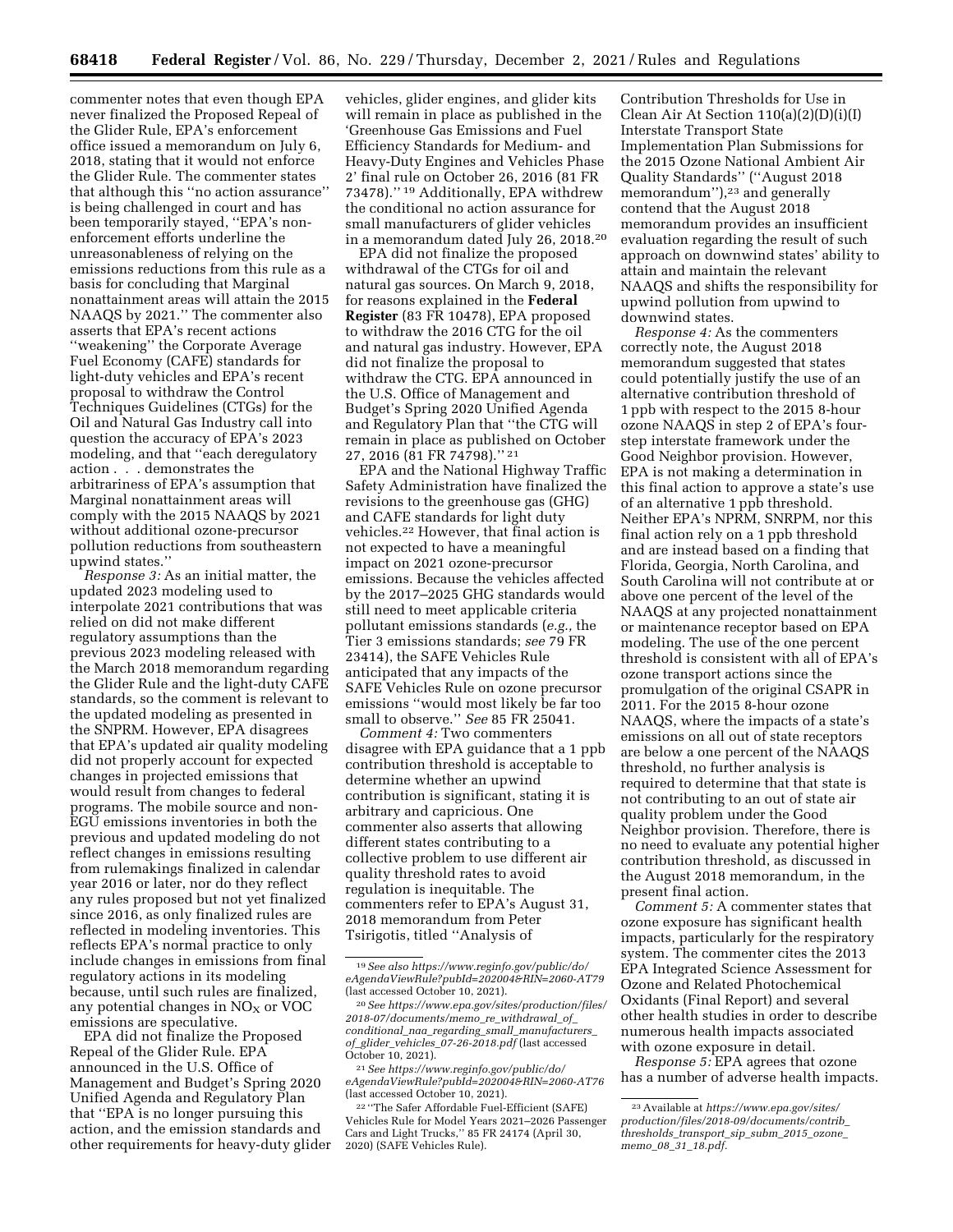commenter notes that even though EPA never finalized the Proposed Repeal of the Glider Rule, EPA's enforcement office issued a memorandum on July 6, 2018, stating that it would not enforce the Glider Rule. The commenter states that although this ''no action assurance'' is being challenged in court and has been temporarily stayed, ''EPA's nonenforcement efforts underline the unreasonableness of relying on the emissions reductions from this rule as a basis for concluding that Marginal nonattainment areas will attain the 2015 NAAQS by 2021.'' The commenter also asserts that EPA's recent actions ''weakening'' the Corporate Average Fuel Economy (CAFE) standards for light-duty vehicles and EPA's recent proposal to withdraw the Control Techniques Guidelines (CTGs) for the Oil and Natural Gas Industry call into question the accuracy of EPA's 2023 modeling, and that ''each deregulatory action . . . demonstrates the arbitrariness of EPA's assumption that Marginal nonattainment areas will comply with the 2015 NAAQS by 2021 without additional ozone-precursor pollution reductions from southeastern upwind states.''

*Response 3:* As an initial matter, the updated 2023 modeling used to interpolate 2021 contributions that was relied on did not make different regulatory assumptions than the previous 2023 modeling released with the March 2018 memorandum regarding the Glider Rule and the light-duty CAFE standards, so the comment is relevant to the updated modeling as presented in the SNPRM. However, EPA disagrees that EPA's updated air quality modeling did not properly account for expected changes in projected emissions that would result from changes to federal programs. The mobile source and non-EGU emissions inventories in both the previous and updated modeling do not reflect changes in emissions resulting from rulemakings finalized in calendar year 2016 or later, nor do they reflect any rules proposed but not yet finalized since 2016, as only finalized rules are reflected in modeling inventories. This reflects EPA's normal practice to only include changes in emissions from final regulatory actions in its modeling because, until such rules are finalized, any potential changes in  $NO<sub>x</sub>$  or VOC emissions are speculative.

EPA did not finalize the Proposed Repeal of the Glider Rule. EPA announced in the U.S. Office of Management and Budget's Spring 2020 Unified Agenda and Regulatory Plan that ''EPA is no longer pursuing this action, and the emission standards and other requirements for heavy-duty glider

vehicles, glider engines, and glider kits will remain in place as published in the 'Greenhouse Gas Emissions and Fuel Efficiency Standards for Medium- and Heavy-Duty Engines and Vehicles Phase 2' final rule on October 26, 2016 (81 FR 73478).'' 19 Additionally, EPA withdrew the conditional no action assurance for small manufacturers of glider vehicles in a memorandum dated July 26, 2018.20

EPA did not finalize the proposed withdrawal of the CTGs for oil and natural gas sources. On March 9, 2018, for reasons explained in the **Federal Register** (83 FR 10478), EPA proposed to withdraw the 2016 CTG for the oil and natural gas industry. However, EPA did not finalize the proposal to withdraw the CTG. EPA announced in the U.S. Office of Management and Budget's Spring 2020 Unified Agenda and Regulatory Plan that ''the CTG will remain in place as published on October 27, 2016 (81 FR 74798).'' 21

EPA and the National Highway Traffic Safety Administration have finalized the revisions to the greenhouse gas (GHG) and CAFE standards for light duty vehicles.22 However, that final action is not expected to have a meaningful impact on 2021 ozone-precursor emissions. Because the vehicles affected by the 2017–2025 GHG standards would still need to meet applicable criteria pollutant emissions standards (*e.g.,* the Tier 3 emissions standards; *see* 79 FR 23414), the SAFE Vehicles Rule anticipated that any impacts of the SAFE Vehicles Rule on ozone precursor emissions ''would most likely be far too small to observe.'' *See* 85 FR 25041.

*Comment 4:* Two commenters disagree with EPA guidance that a 1 ppb contribution threshold is acceptable to determine whether an upwind contribution is significant, stating it is arbitrary and capricious. One commenter also asserts that allowing different states contributing to a collective problem to use different air quality threshold rates to avoid regulation is inequitable. The commenters refer to EPA's August 31, 2018 memorandum from Peter Tsirigotis, titled ''Analysis of

Contribution Thresholds for Use in Clean Air At Section 110(a)(2)(D)(i)(I) Interstate Transport State Implementation Plan Submissions for the 2015 Ozone National Ambient Air Quality Standards'' (''August 2018 memorandum"),<sup>23</sup> and generally contend that the August 2018 memorandum provides an insufficient evaluation regarding the result of such approach on downwind states' ability to attain and maintain the relevant NAAQS and shifts the responsibility for upwind pollution from upwind to downwind states.

*Response 4:* As the commenters correctly note, the August 2018 memorandum suggested that states could potentially justify the use of an alternative contribution threshold of 1 ppb with respect to the 2015 8-hour ozone NAAQS in step 2 of EPA's fourstep interstate framework under the Good Neighbor provision. However, EPA is not making a determination in this final action to approve a state's use of an alternative 1 ppb threshold. Neither EPA's NPRM, SNRPM, nor this final action rely on a 1 ppb threshold and are instead based on a finding that Florida, Georgia, North Carolina, and South Carolina will not contribute at or above one percent of the level of the NAAQS at any projected nonattainment or maintenance receptor based on EPA modeling. The use of the one percent threshold is consistent with all of EPA's ozone transport actions since the promulgation of the original CSAPR in 2011. For the 2015 8-hour ozone NAAQS, where the impacts of a state's emissions on all out of state receptors are below a one percent of the NAAQS threshold, no further analysis is required to determine that that state is not contributing to an out of state air quality problem under the Good Neighbor provision. Therefore, there is no need to evaluate any potential higher contribution threshold, as discussed in the August 2018 memorandum, in the present final action.

*Comment 5:* A commenter states that ozone exposure has significant health impacts, particularly for the respiratory system. The commenter cites the 2013 EPA Integrated Science Assessment for Ozone and Related Photochemical Oxidants (Final Report) and several other health studies in order to describe numerous health impacts associated with ozone exposure in detail.

*Response 5:* EPA agrees that ozone has a number of adverse health impacts.

<sup>19</sup>*See also [https://www.reginfo.gov/public/do/](https://www.reginfo.gov/public/do/eAgendaViewRule?pubId=202004&RIN=2060-AT79) [eAgendaViewRule?pubId=202004&RIN=2060-AT79](https://www.reginfo.gov/public/do/eAgendaViewRule?pubId=202004&RIN=2060-AT79)*  (last accessed October 10, 2021).

<sup>20</sup>*See [https://www.epa.gov/sites/production/files/](https://www.epa.gov/sites/production/files/2018-07/documents/memo_re_withdrawal_of_conditional_naa_regarding_small_manufacturers_of_glider_vehicles_07-26-2018.pdf)  [2018-07/documents/memo](https://www.epa.gov/sites/production/files/2018-07/documents/memo_re_withdrawal_of_conditional_naa_regarding_small_manufacturers_of_glider_vehicles_07-26-2018.pdf)*\_*re*\_*withdrawal*\_*of*\_ *conditional*\_*naa*\_*regarding*\_*small*\_*[manufacturers](https://www.epa.gov/sites/production/files/2018-07/documents/memo_re_withdrawal_of_conditional_naa_regarding_small_manufacturers_of_glider_vehicles_07-26-2018.pdf)*\_ *of*\_*glider*\_*vehicles*\_*[07-26-2018.pdf](https://www.epa.gov/sites/production/files/2018-07/documents/memo_re_withdrawal_of_conditional_naa_regarding_small_manufacturers_of_glider_vehicles_07-26-2018.pdf)* (last accessed October 10, 2021).

<sup>21</sup>*See [https://www.reginfo.gov/public/do/](https://www.reginfo.gov/public/do/eAgendaViewRule?pubId=202004&RIN=2060-AT76) [eAgendaViewRule?pubId=202004&RIN=2060-AT76](https://www.reginfo.gov/public/do/eAgendaViewRule?pubId=202004&RIN=2060-AT76)*  (last accessed October 10, 2021).

<sup>22</sup> ''The Safer Affordable Fuel-Efficient (SAFE) Vehicles Rule for Model Years 2021–2026 Passenger Cars and Light Trucks,'' 85 FR 24174 (April 30, 2020) (SAFE Vehicles Rule).

<sup>23</sup>Available at *[https://www.epa.gov/sites/](https://www.epa.gov/sites/production/files/2018-09/documents/contrib_thresholds_transport_sip_subm_2015_ozone_memo_08_31_18.pdf)  [production/files/2018-09/documents/contrib](https://www.epa.gov/sites/production/files/2018-09/documents/contrib_thresholds_transport_sip_subm_2015_ozone_memo_08_31_18.pdf)*\_ *[thresholds](https://www.epa.gov/sites/production/files/2018-09/documents/contrib_thresholds_transport_sip_subm_2015_ozone_memo_08_31_18.pdf)*\_*transport*\_*sip*\_*subm*\_*2015*\_*ozone*\_ *memo*\_*08*\_*31*\_*[18.pdf.](https://www.epa.gov/sites/production/files/2018-09/documents/contrib_thresholds_transport_sip_subm_2015_ozone_memo_08_31_18.pdf)*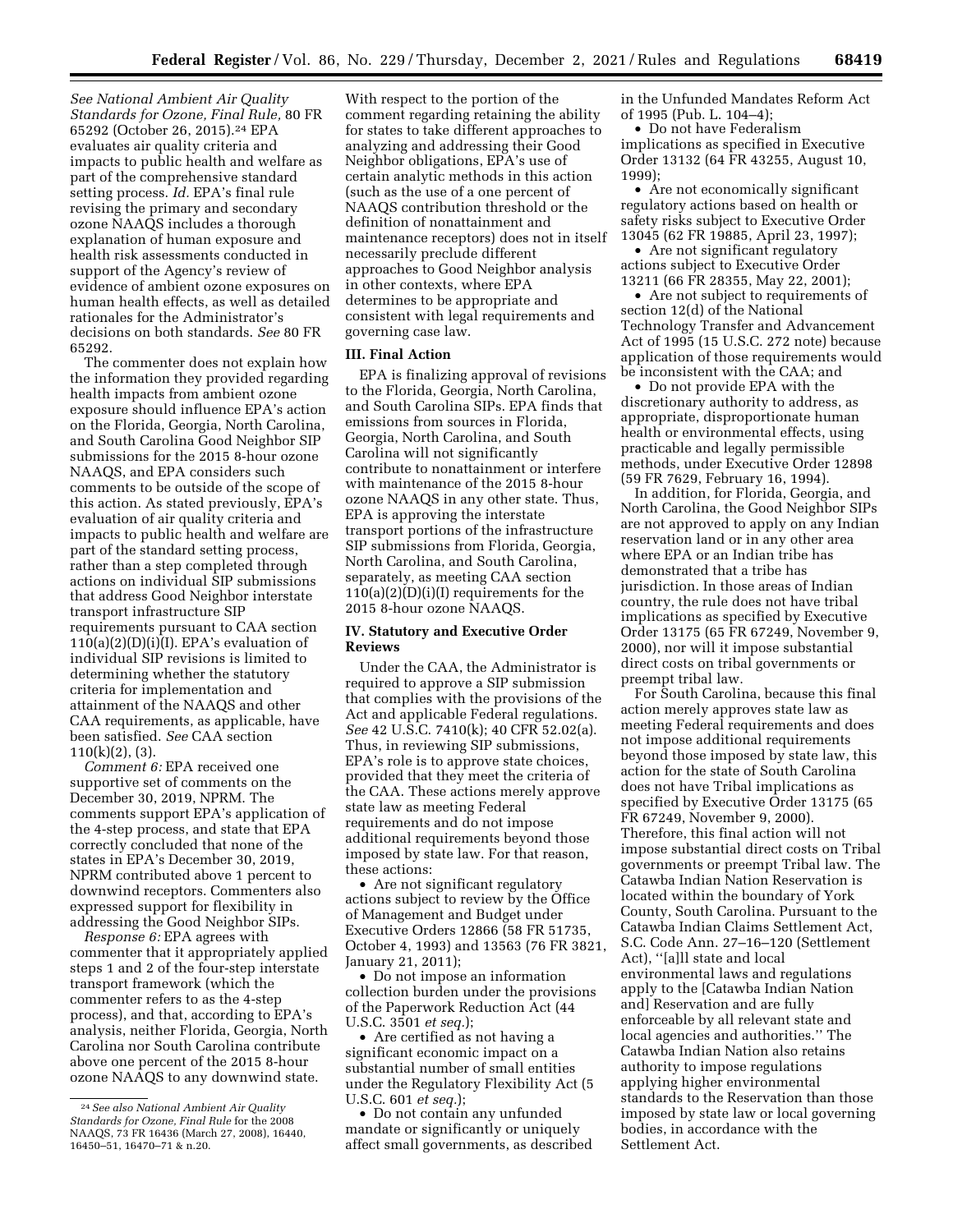*See National Ambient Air Quality Standards for Ozone, Final Rule,* 80 FR 65292 (October 26, 2015).24 EPA evaluates air quality criteria and impacts to public health and welfare as part of the comprehensive standard setting process. *Id.* EPA's final rule revising the primary and secondary ozone NAAQS includes a thorough explanation of human exposure and health risk assessments conducted in support of the Agency's review of evidence of ambient ozone exposures on human health effects, as well as detailed rationales for the Administrator's decisions on both standards. *See* 80 FR 65292.

The commenter does not explain how the information they provided regarding health impacts from ambient ozone exposure should influence EPA's action on the Florida, Georgia, North Carolina, and South Carolina Good Neighbor SIP submissions for the 2015 8-hour ozone NAAQS, and EPA considers such comments to be outside of the scope of this action. As stated previously, EPA's evaluation of air quality criteria and impacts to public health and welfare are part of the standard setting process, rather than a step completed through actions on individual SIP submissions that address Good Neighbor interstate transport infrastructure SIP requirements pursuant to CAA section  $110(a)(2)(D)(i)(I)$ . EPA's evaluation of individual SIP revisions is limited to determining whether the statutory criteria for implementation and attainment of the NAAQS and other CAA requirements, as applicable, have been satisfied. *See* CAA section 110(k)(2), (3).

*Comment 6:* EPA received one supportive set of comments on the December 30, 2019, NPRM. The comments support EPA's application of the 4-step process, and state that EPA correctly concluded that none of the states in EPA's December 30, 2019, NPRM contributed above 1 percent to downwind receptors. Commenters also expressed support for flexibility in addressing the Good Neighbor SIPs.

*Response 6:* EPA agrees with commenter that it appropriately applied steps 1 and 2 of the four-step interstate transport framework (which the commenter refers to as the 4-step process), and that, according to EPA's analysis, neither Florida, Georgia, North Carolina nor South Carolina contribute above one percent of the 2015 8-hour ozone NAAQS to any downwind state.

With respect to the portion of the comment regarding retaining the ability for states to take different approaches to analyzing and addressing their Good Neighbor obligations, EPA's use of certain analytic methods in this action (such as the use of a one percent of NAAQS contribution threshold or the definition of nonattainment and maintenance receptors) does not in itself necessarily preclude different approaches to Good Neighbor analysis in other contexts, where EPA determines to be appropriate and consistent with legal requirements and governing case law.

#### **III. Final Action**

EPA is finalizing approval of revisions to the Florida, Georgia, North Carolina, and South Carolina SIPs. EPA finds that emissions from sources in Florida, Georgia, North Carolina, and South Carolina will not significantly contribute to nonattainment or interfere with maintenance of the 2015 8-hour ozone NAAQS in any other state. Thus, EPA is approving the interstate transport portions of the infrastructure SIP submissions from Florida, Georgia, North Carolina, and South Carolina, separately, as meeting CAA section 110(a)(2)(D)(i)(I) requirements for the 2015 8-hour ozone NAAQS.

## **IV. Statutory and Executive Order Reviews**

Under the CAA, the Administrator is required to approve a SIP submission that complies with the provisions of the Act and applicable Federal regulations. *See* 42 U.S.C. 7410(k); 40 CFR 52.02(a). Thus, in reviewing SIP submissions, EPA's role is to approve state choices, provided that they meet the criteria of the CAA. These actions merely approve state law as meeting Federal requirements and do not impose additional requirements beyond those imposed by state law. For that reason, these actions:

• Are not significant regulatory actions subject to review by the Office of Management and Budget under Executive Orders 12866 (58 FR 51735, October 4, 1993) and 13563 (76 FR 3821, January 21, 2011);

• Do not impose an information collection burden under the provisions of the Paperwork Reduction Act (44 U.S.C. 3501 *et seq.*);

• Are certified as not having a significant economic impact on a substantial number of small entities under the Regulatory Flexibility Act (5 U.S.C. 601 *et seq.*);

• Do not contain any unfunded mandate or significantly or uniquely affect small governments, as described in the Unfunded Mandates Reform Act of 1995 (Pub. L. 104–4);

• Do not have Federalism implications as specified in Executive Order 13132 (64 FR 43255, August 10, 1999);

• Are not economically significant regulatory actions based on health or safety risks subject to Executive Order 13045 (62 FR 19885, April 23, 1997);

• Are not significant regulatory actions subject to Executive Order 13211 (66 FR 28355, May 22, 2001);

• Are not subject to requirements of section 12(d) of the National Technology Transfer and Advancement Act of 1995 (15 U.S.C. 272 note) because application of those requirements would be inconsistent with the CAA; and

• Do not provide EPA with the discretionary authority to address, as appropriate, disproportionate human health or environmental effects, using practicable and legally permissible methods, under Executive Order 12898 (59 FR 7629, February 16, 1994).

In addition, for Florida, Georgia, and North Carolina, the Good Neighbor SIPs are not approved to apply on any Indian reservation land or in any other area where EPA or an Indian tribe has demonstrated that a tribe has jurisdiction. In those areas of Indian country, the rule does not have tribal implications as specified by Executive Order 13175 (65 FR 67249, November 9, 2000), nor will it impose substantial direct costs on tribal governments or preempt tribal law.

For South Carolina, because this final action merely approves state law as meeting Federal requirements and does not impose additional requirements beyond those imposed by state law, this action for the state of South Carolina does not have Tribal implications as specified by Executive Order 13175 (65 FR 67249, November 9, 2000). Therefore, this final action will not impose substantial direct costs on Tribal governments or preempt Tribal law. The Catawba Indian Nation Reservation is located within the boundary of York County, South Carolina. Pursuant to the Catawba Indian Claims Settlement Act, S.C. Code Ann. 27–16–120 (Settlement Act), ''[a]ll state and local environmental laws and regulations apply to the [Catawba Indian Nation and] Reservation and are fully enforceable by all relevant state and local agencies and authorities.'' The Catawba Indian Nation also retains authority to impose regulations applying higher environmental standards to the Reservation than those imposed by state law or local governing bodies, in accordance with the Settlement Act.

<sup>24</sup>*See also National Ambient Air Quality Standards for Ozone, Final Rule* for the 2008 NAAQS, 73 FR 16436 (March 27, 2008), 16440, 16450–51, 16470–71 & n.20.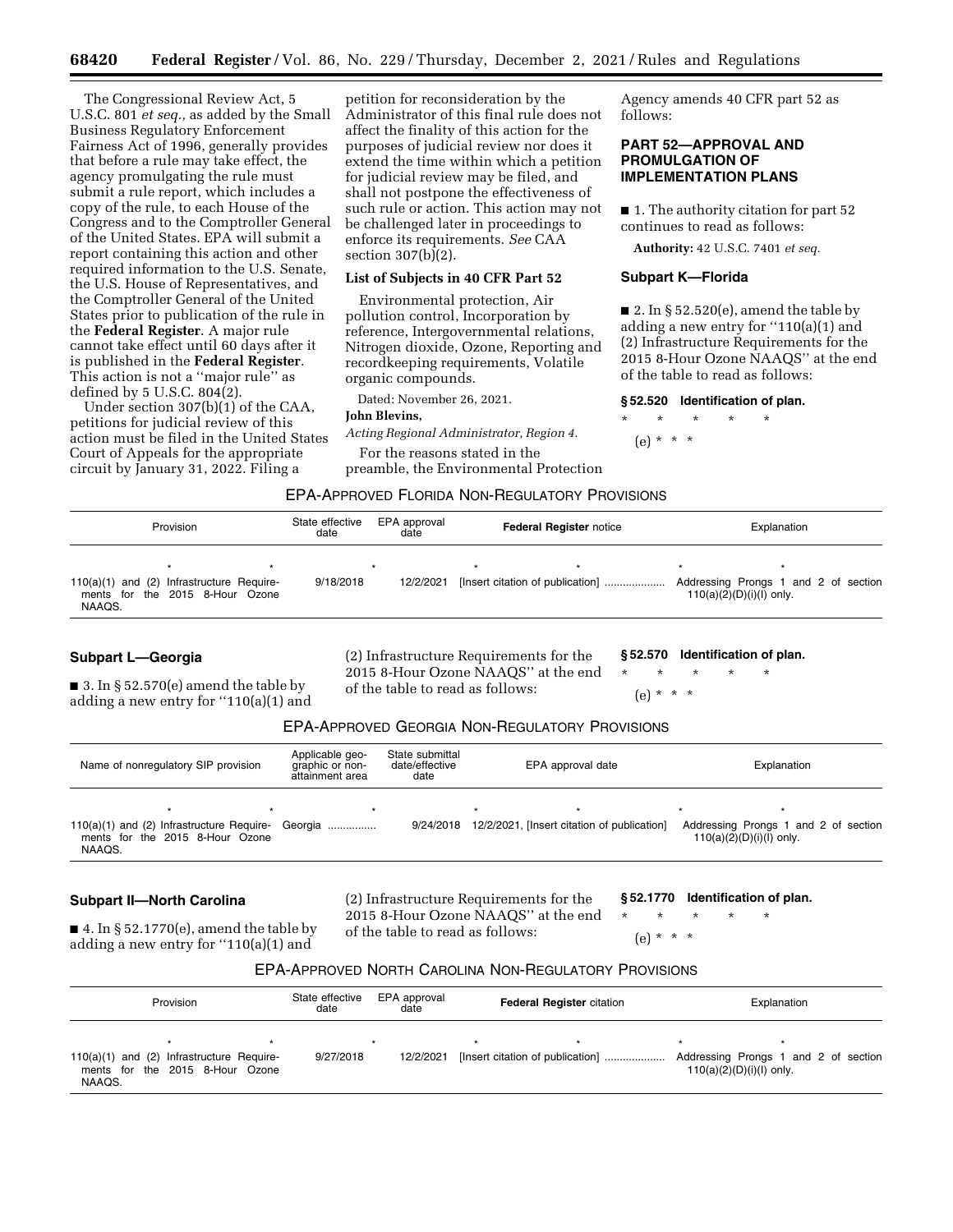The Congressional Review Act, 5 U.S.C. 801 *et seq.,* as added by the Small Business Regulatory Enforcement Fairness Act of 1996, generally provides that before a rule may take effect, the agency promulgating the rule must submit a rule report, which includes a copy of the rule, to each House of the Congress and to the Comptroller General of the United States. EPA will submit a report containing this action and other required information to the U.S. Senate, the U.S. House of Representatives, and the Comptroller General of the United States prior to publication of the rule in the **Federal Register**. A major rule cannot take effect until 60 days after it is published in the **Federal Register**. This action is not a ''major rule'' as defined by 5 U.S.C.  $804(2)$ .

Under section 307(b)(1) of the CAA, petitions for judicial review of this action must be filed in the United States Court of Appeals for the appropriate circuit by January 31, 2022. Filing a

petition for reconsideration by the Administrator of this final rule does not affect the finality of this action for the purposes of judicial review nor does it extend the time within which a petition for judicial review may be filed, and shall not postpone the effectiveness of such rule or action. This action may not be challenged later in proceedings to enforce its requirements. *See* CAA section  $307(b)(2)$ .

## **List of Subjects in 40 CFR Part 52**

Environmental protection, Air pollution control, Incorporation by reference, Intergovernmental relations, Nitrogen dioxide, Ozone, Reporting and recordkeeping requirements, Volatile organic compounds.

Dated: November 26, 2021.

#### **John Blevins,**

*Acting Regional Administrator, Region 4.* 

For the reasons stated in the preamble, the Environmental Protection Agency amends 40 CFR part 52 as follows:

## **PART 52—APPROVAL AND PROMULGATION OF IMPLEMENTATION PLANS**

■ 1. The authority citation for part 52 continues to read as follows:

**Authority:** 42 U.S.C. 7401 *et seq.* 

#### **Subpart K—Florida**

■ 2. In § 52.520(e), amend the table by adding a new entry for ''110(a)(1) and (2) Infrastructure Requirements for the 2015 8-Hour Ozone NAAQS'' at the end of the table to read as follows:

#### **§ 52.520 Identification of plan.**

- \* \* \* \* \*
- (e) \* \* \*

# EPA-APPROVED FLORIDA NON-REGULATORY PROVISIONS

| Provision |                                                                              | State effective<br>date | EPA approval<br>date | <b>Federal Register notice</b> |  | Explanation                      |                                                                    |  |  |
|-----------|------------------------------------------------------------------------------|-------------------------|----------------------|--------------------------------|--|----------------------------------|--------------------------------------------------------------------|--|--|
| NAAQS.    | 110(a)(1) and (2) Infrastructure Require-<br>ments for the 2015 8-Hour Ozone |                         | 9/18/2018            | 12/2/2021                      |  | [Insert citation of publication] | Addressing Prongs 1 and 2 of section<br>$110(a)(2)(D)(i)(l)$ only. |  |  |

## **Subpart L—Georgia**

 $\blacksquare$  3. In § 52.570(e) amend the table by adding a new entry for ''110(a)(1) and (2) Infrastructure Requirements for the 2015 8-Hour Ozone NAAQS'' at the end of the table to read as follows:

**§ 52.570 Identification of plan.** 

\* \* \* \* \* (e) \* \* \*

# EPA-APPROVED GEORGIA NON-REGULATORY PROVISIONS

| Name of nonregulatory SIP provision                                                                 | Applicable geo-<br>graphic or non-<br>attainment area | State submittal<br>date/effective<br>date | EPA approval date                           | Explanation                                                        |
|-----------------------------------------------------------------------------------------------------|-------------------------------------------------------|-------------------------------------------|---------------------------------------------|--------------------------------------------------------------------|
| ÷<br>110(a)(1) and (2) Infrastructure Require- Georgia<br>ments for the 2015 8-Hour Ozone<br>NAAQS. |                                                       | 9/24/2018                                 | 12/2/2021, [Insert citation of publication] | Addressing Prongs 1 and 2 of section<br>$110(a)(2)(D)(i)(l)$ only. |

#### **Subpart II—North Carolina**

 $\blacksquare$  4. In § 52.1770(e), amend the table by adding a new entry for ''110(a)(1) and

(2) Infrastructure Requirements for the 2015 8-Hour Ozone NAAQS'' at the end of the table to read as follows:

**§ 52.1770 Identification of plan.** 

- \* \* \* \* \*
	- $(e)$  \*

# EPA-APPROVED NORTH CAROLINA NON-REGULATORY PROVISIONS

| Provision |                                                                                  | State effective<br>date | EPA approval<br><b>Federal Register citation</b><br>date |           | Explanation |                                  |                                                                    |  |
|-----------|----------------------------------------------------------------------------------|-------------------------|----------------------------------------------------------|-----------|-------------|----------------------------------|--------------------------------------------------------------------|--|
| NAAQS.    | $110(a)(1)$ and $(2)$ Infrastructure Require-<br>ments for the 2015 8-Hour Ozone |                         | 9/27/2018                                                | 12/2/2021 |             | [Insert citation of publication] | Addressing Prongs 1 and 2 of section<br>$110(a)(2)(D)(i)(l)$ only. |  |